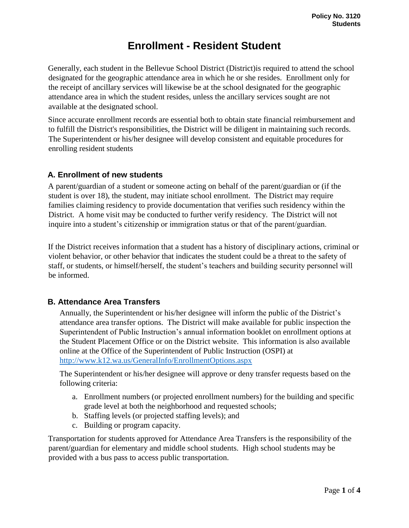# **Enrollment - Resident Student**

Generally*,* each student in the Bellevue School District (District)is required to attend the school designated for the geographic attendance area in which he or she resides. Enrollment only for the receipt of ancillary services will likewise be at the school designated for the geographic attendance area in which the student resides, unless the ancillary services sought are not available at the designated school.

Since accurate enrollment records are essential both to obtain state financial reimbursement and to fulfill the District's responsibilities, the District will be diligent in maintaining such records. The Superintendent or his/her designee will develop consistent and equitable procedures for enrolling resident students

## **A. Enrollment of new students**

A parent/guardian of a student or someone acting on behalf of the parent/guardian or (if the student is over 18), the student, may initiate school enrollment. The District may require families claiming residency to provide documentation that verifies such residency within the District. A home visit may be conducted to further verify residency. The District will not inquire into a student's citizenship or immigration status or that of the parent/guardian.

If the District receives information that a student has a history of disciplinary actions, criminal or violent behavior, or other behavior that indicates the student could be a threat to the safety of staff, or students, or himself/herself, the student's teachers and building security personnel will be informed.

# **B. Attendance Area Transfers**

Annually, the Superintendent or his/her designee will inform the public of the District's attendance area transfer options. The District will make available for public inspection the Superintendent of Public Instruction's annual information booklet on enrollment options at the Student Placement Office or on the District website. This information is also available online at the Office of the Superintendent of Public Instruction (OSPI) at <http://www.k12.wa.us/GeneralInfo/EnrollmentOptions.aspx>

The Superintendent or his/her designee will approve or deny transfer requests based on the following criteria:

- a. Enrollment numbers (or projected enrollment numbers) for the building and specific grade level at both the neighborhood and requested schools;
- b. Staffing levels (or projected staffing levels); and
- c. Building or program capacity.

Transportation for students approved for Attendance Area Transfers is the responsibility of the parent/guardian for elementary and middle school students. High school students may be provided with a bus pass to access public transportation.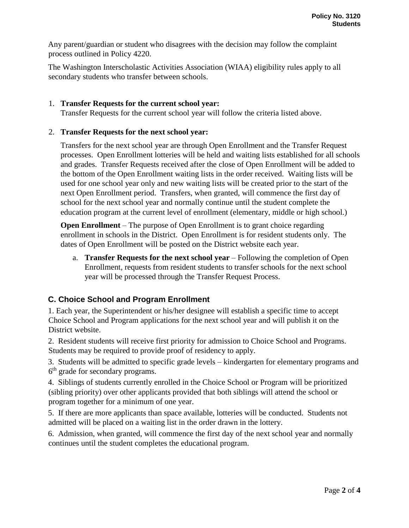Any parent/guardian or student who disagrees with the decision may follow the complaint process outlined in Policy 4220.

The Washington Interscholastic Activities Association (WIAA) eligibility rules apply to all secondary students who transfer between schools.

#### 1. **Transfer Requests for the current school year:**

Transfer Requests for the current school year will follow the criteria listed above.

#### 2. **Transfer Requests for the next school year:**

Transfers for the next school year are through Open Enrollment and the Transfer Request processes. Open Enrollment lotteries will be held and waiting lists established for all schools and grades. Transfer Requests received after the close of Open Enrollment will be added to the bottom of the Open Enrollment waiting lists in the order received. Waiting lists will be used for one school year only and new waiting lists will be created prior to the start of the next Open Enrollment period. Transfers, when granted, will commence the first day of school for the next school year and normally continue until the student complete the education program at the current level of enrollment (elementary, middle or high school.)

**Open Enrollment** – The purpose of Open Enrollment is to grant choice regarding enrollment in schools in the District. Open Enrollment is for resident students only. The dates of Open Enrollment will be posted on the District website each year.

a. **Transfer Requests for the next school year** – Following the completion of Open Enrollment, requests from resident students to transfer schools for the next school year will be processed through the Transfer Request Process.

# **C. Choice School and Program Enrollment**

1. Each year, the Superintendent or his/her designee will establish a specific time to accept Choice School and Program applications for the next school year and will publish it on the District website.

2. Resident students will receive first priority for admission to Choice School and Programs. Students may be required to provide proof of residency to apply.

3. Students will be admitted to specific grade levels – kindergarten for elementary programs and 6<sup>th</sup> grade for secondary programs.

4. Siblings of students currently enrolled in the Choice School or Program will be prioritized (sibling priority) over other applicants provided that both siblings will attend the school or program together for a minimum of one year.

5. If there are more applicants than space available, lotteries will be conducted. Students not admitted will be placed on a waiting list in the order drawn in the lottery.

6. Admission, when granted, will commence the first day of the next school year and normally continues until the student completes the educational program.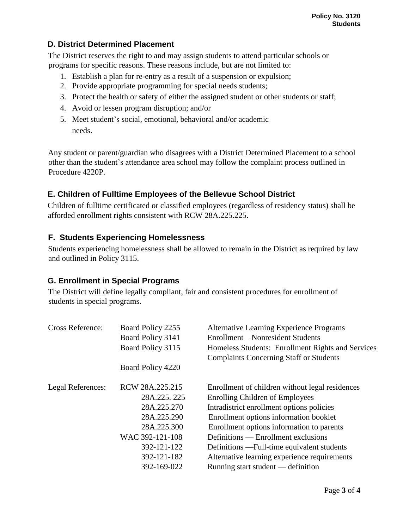# **D. District Determined Placement**

The District reserves the right to and may assign students to attend particular schools or programs for specific reasons. These reasons include, but are not limited to:

- 1. Establish a plan for re-entry as a result of a suspension or expulsion;
- 2. Provide appropriate programming for special needs students;
- 3. Protect the health or safety of either the assigned student or other students or staff;
- 4. Avoid or lessen program disruption; and/or
- 5. Meet student's social, emotional, behavioral and/or academic needs.

Any student or parent/guardian who disagrees with a District Determined Placement to a school other than the student's attendance area school may follow the complaint process outlined in Procedure 4220P.

## **E. Children of Fulltime Employees of the Bellevue School District**

Children of fulltime certificated or classified employees (regardless of residency status) shall be afforded enrollment rights consistent with RCW 28A.225.225.

## **F. Students Experiencing Homelessness**

Students experiencing homelessness shall be allowed to remain in the District as required by law and outlined in Policy 3115.

#### **G. Enrollment in Special Programs**

The District will define legally compliant, fair and consistent procedures for enrollment of students in special programs.

| <b>Cross Reference:</b> | Board Policy 2255 | <b>Alternative Learning Experience Programs</b>   |
|-------------------------|-------------------|---------------------------------------------------|
|                         | Board Policy 3141 | Enrollment – Nonresident Students                 |
|                         | Board Policy 3115 | Homeless Students: Enrollment Rights and Services |
|                         |                   | <b>Complaints Concerning Staff or Students</b>    |
|                         | Board Policy 4220 |                                                   |
| Legal References:       | RCW 28A.225.215   | Enrollment of children without legal residences   |
|                         | 28A.225.225       | <b>Enrolling Children of Employees</b>            |
|                         | 28A.225.270       | Intradistrict enrollment options policies         |
|                         | 28A.225.290       | Enrollment options information booklet            |
|                         | 28A.225.300       | Enrollment options information to parents         |
|                         | WAC 392-121-108   | Definitions — Enrollment exclusions               |
|                         | 392-121-122       | Definitions — Full-time equivalent students       |
|                         | 392-121-182       | Alternative learning experience requirements      |
|                         | 392-169-022       | Running start student — definition                |
|                         |                   |                                                   |